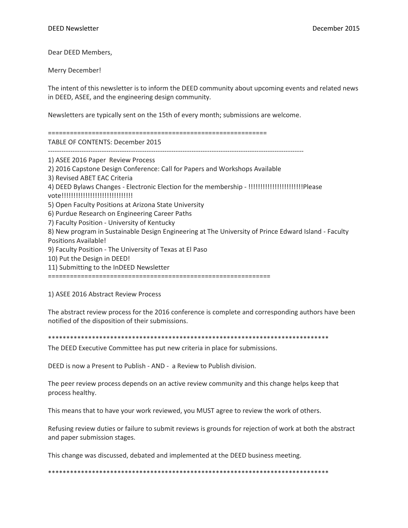Dear DEED Members,

Merry December!

The intent of this newsletter is to inform the DEED community about upcoming events and related news in DEED, ASEE, and the engineering design community.

Newsletters are typically sent on the 15th of every month; submissions are welcome.

============================================================ TABLE OF CONTENTS: December 2015 ------------------------------------------------------------------------------------------------------------------ 1) ASEE 2016 Paper Review Process 2) 2016 Capstone Design Conference: Call for Papers and Workshops Available 3) Revised ABET EAC Criteria 4) DEED Bylaws Changes - Electronic Election for the membership - !!!!!!!!!!!!!!!!!!!!!!!Please vote!!!!!!!!!!!!!!!!!!!!!!!!!!!!!! 5) Open Faculty Positions at Arizona State University 6) Purdue Research on Engineering Career Paths 7) Faculty Position - University of Kentucky

8) New program in Sustainable Design Engineering at The University of Prince Edward Island - Faculty Positions Available!

9) Faculty Position - The University of Texas at El Paso

10) Put the Design in DEED!

11) Submitting to the InDEED Newsletter

=============================================================

1) ASEE 2016 Abstract Review Process

The abstract review process for the 2016 conference is complete and corresponding authors have been notified of the disposition of their submissions.

\*\*\*\*\*\*\*\*\*\*\*\*\*\*\*\*\*\*\*\*\*\*\*\*\*\*\*\*\*\*\*\*\*\*\*\*\*\*\*\*\*\*\*\*\*\*\*\*\*\*\*\*\*\*\*\*\*\*\*\*\*\*\*\*\*\*\*\*\*\*\*\*\*\*\*\*\*

The DEED Executive Committee has put new criteria in place for submissions.

DEED is now a Present to Publish - AND - a Review to Publish division.

The peer review process depends on an active review community and this change helps keep that process healthy.

This means that to have your work reviewed, you MUST agree to review the work of others.

Refusing review duties or failure to submit reviews is grounds for rejection of work at both the abstract and paper submission stages.

This change was discussed, debated and implemented at the DEED business meeting.

\*\*\*\*\*\*\*\*\*\*\*\*\*\*\*\*\*\*\*\*\*\*\*\*\*\*\*\*\*\*\*\*\*\*\*\*\*\*\*\*\*\*\*\*\*\*\*\*\*\*\*\*\*\*\*\*\*\*\*\*\*\*\*\*\*\*\*\*\*\*\*\*\*\*\*\*\*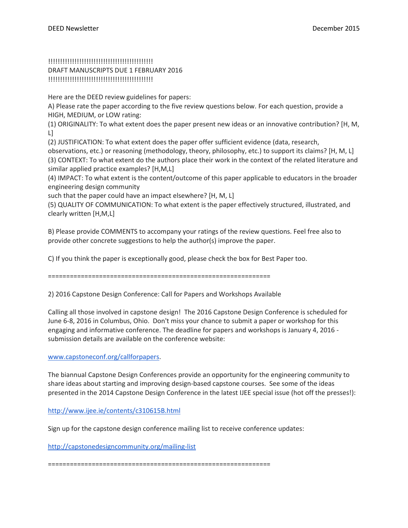# !!!!!!!!!!!!!!!!!!!!!!!!!!!!!!!!!!!!!!!!!!!! DRAFT MANUSCRIPTS DUE 1 FEBRUARY 2016 !!!!!!!!!!!!!!!!!!!!!!!!!!!!!!!!!!!!!!!!!!!!

Here are the DEED review guidelines for papers:

A) Please rate the paper according to the five review questions below. For each question, provide a HIGH, MEDIUM, or LOW rating:

(1) ORIGINALITY: To what extent does the paper present new ideas or an innovative contribution? [H, M, L]

(2) JUSTIFICATION: To what extent does the paper offer sufficient evidence (data, research,

observations, etc.) or reasoning (methodology, theory, philosophy, etc.) to support its claims? [H, M, L] (3) CONTEXT: To what extent do the authors place their work in the context of the related literature and similar applied practice examples? [H,M,L]

(4) IMPACT: To what extent is the content/outcome of this paper applicable to educators in the broader engineering design community

such that the paper could have an impact elsewhere? [H, M, L]

(5) QUALITY OF COMMUNICATION: To what extent is the paper effectively structured, illustrated, and clearly written [H,M,L]

B) Please provide COMMENTS to accompany your ratings of the review questions. Feel free also to provide other concrete suggestions to help the author(s) improve the paper.

C) If you think the paper is exceptionally good, please check the box for Best Paper too.

=============================================================

2) 2016 Capstone Design Conference: Call for Papers and Workshops Available

Calling all those involved in capstone design! The 2016 Capstone Design Conference is scheduled for June 6-8, 2016 in Columbus, Ohio. Don't miss your chance to submit a paper or workshop for this engaging and informative conference. The deadline for papers and workshops is January 4, 2016 submission details are available on the conference website:

[www.capstoneconf.org/callforpapers.](http://www.capstoneconf.org/callforpapers)

The biannual Capstone Design Conferences provide an opportunity for the engineering community to share ideas about starting and improving design-based capstone courses. See some of the ideas presented in the 2014 Capstone Design Conference in the latest IJEE special issue (hot off the presses!):

<http://www.ijee.ie/contents/c310615B.html>

Sign up for the capstone design conference mailing list to receive conference updates:

<http://capstonedesigncommunity.org/mailing-list>

=============================================================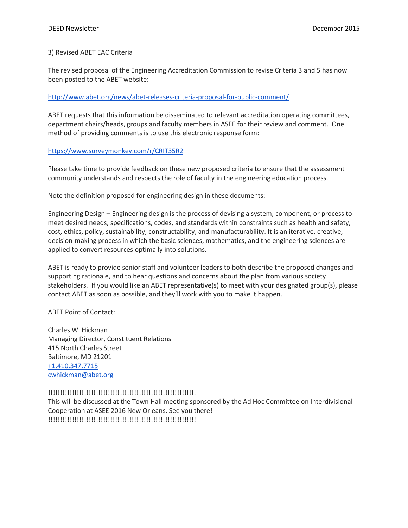## 3) Revised ABET EAC Criteria

The revised proposal of the Engineering Accreditation Commission to revise Criteria 3 and 5 has now been posted to the ABET website:

## <http://www.abet.org/news/abet-releases-criteria-proposal-for-public-comment/>

ABET requests that this information be disseminated to relevant accreditation operating committees, department chairs/heads, groups and faculty members in ASEE for their review and comment. One method of providing comments is to use this electronic response form:

## <https://www.surveymonkey.com/r/CRIT35R2>

Please take time to provide feedback on these new proposed criteria to ensure that the assessment community understands and respects the role of faculty in the engineering education process.

Note the definition proposed for engineering design in these documents:

Engineering Design – Engineering design is the process of devising a system, component, or process to meet desired needs, specifications, codes, and standards within constraints such as health and safety, cost, ethics, policy, sustainability, constructability, and manufacturability. It is an iterative, creative, decision-making process in which the basic sciences, mathematics, and the engineering sciences are applied to convert resources optimally into solutions.

ABET is ready to provide senior staff and volunteer leaders to both describe the proposed changes and supporting rationale, and to hear questions and concerns about the plan from various society stakeholders. If you would like an ABET representative(s) to meet with your designated group(s), please contact ABET as soon as possible, and they'll work with you to make it happen.

ABET Point of Contact:

Charles W. Hickman Managing Director, Constituent Relations 415 North Charles Street Baltimore, MD 21201 [+1.410.347.7715](tel:%2B1.410.347.7715) [cwhickman@abet.org](mailto:cwhickman@abet.org)

# !!!!!!!!!!!!!!!!!!!!!!!!!!!!!!!!!!!!!!!!!!!!!!!!!!!!!!!!!!!!!!

This will be discussed at the Town Hall meeting sponsored by the Ad Hoc Committee on Interdivisional Cooperation at ASEE 2016 New Orleans. See you there! !!!!!!!!!!!!!!!!!!!!!!!!!!!!!!!!!!!!!!!!!!!!!!!!!!!!!!!!!!!!!!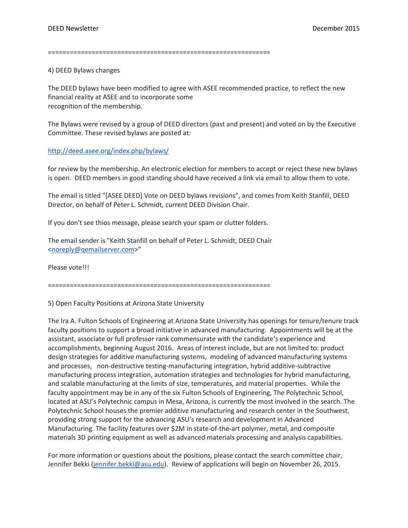=============================================================

4) DEED Bylaws changes

The DEED bylaws have been modified to agree with ASEE recommended practice, to reflect the new financial reality at ASEE and to incorporate some recognition of the membership.

The Bylaws were revised by a group of DEED directors (past and present) and voted on by the Executive Committee. These revised bylaws are posted at:

#### <http://deed.asee.org/index.php/bylaws/>

for review by the membership. An electronic election for members to accept or reject these new bylaws is open. DEED members in good standing should have received a link via email to allow them to vote.

The email is titled "[ASEE DEED] Vote on DEED bylaws revisions", and comes from Keith Stanfill, DEED Director, on behalf of Peter L. Schmidt, current DEED Division Chair.

If you don't see thios message, please search your spam or clutter folders.

The email sender is "Keith Stanfill on behalf of Peter L. Schmidt, DEED Chair [<noreply@qemailserver.com>](mailto:noreply@qemailserver.com)"

Please vote!!!

=============================================================

5) Open Faculty Positions at Arizona State University

The Ira A. Fulton Schools of Engineering at Arizona State University has openings for tenure/tenure track faculty positions to support a broad initiative in advanced manufacturing. Appointments will be at the assistant, associate or full professor rank commensurate with the candidate's experience and accomplishments, beginning August 2016. Areas of interest include, but are not limited to: product design strategies for additive manufacturing systems, modeling of advanced manufacturing systems and processes, non-destructive testing-manufacturing integration, hybrid additive-subtractive manufacturing process integration, automation strategies and technologies for hybrid manufacturing, and scalable manufacturing at the limits of size, temperatures, and material properties. While the faculty appointment may be in any of the six Fulton Schools of Engineering, The Polytechnic School, located at ASU's Polytechnic campus in Mesa, Arizona, is currently the most involved in the search. The Polytechnic School houses the premier additive manufacturing and research center in the Southwest, providing strong support for the advancing ASU's research and development in Advanced Manufacturing. The facility features over \$2M in state-of-the-art polymer, metal, and composite materials 3D printing equipment as well as advanced materials processing and analysis capabilities.

For more information or questions about the positions, please contact the search committee chair, Jennifer Bekki [\(jennifer.bekki@asu.edu\)](mailto:jennifer.bekki@asu.edu). Review of applications will begin on November 26, 2015.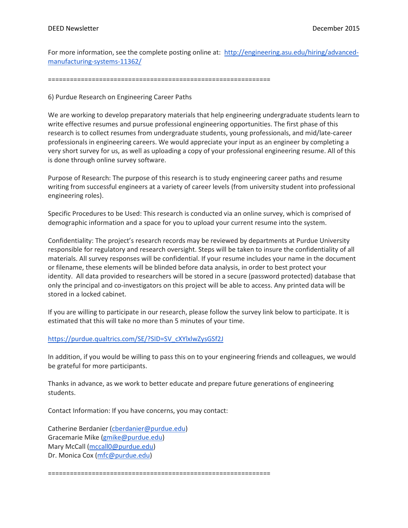For more information, see the complete posting online at: [http://engineering.asu.edu/hiring/advanced](http://engineering.asu.edu/hiring/advanced-manufacturing-systems-11362/)[manufacturing-systems-11362/](http://engineering.asu.edu/hiring/advanced-manufacturing-systems-11362/)

=============================================================

6) Purdue Research on Engineering Career Paths

We are working to develop preparatory materials that help engineering undergraduate students learn to write effective resumes and pursue professional engineering opportunities. The first phase of this research is to collect resumes from undergraduate students, young professionals, and mid/late-career professionals in engineering careers. We would appreciate your input as an engineer by completing a very short survey for us, as well as uploading a copy of your professional engineering resume. All of this is done through online survey software.

Purpose of Research: The purpose of this research is to study engineering career paths and resume writing from successful engineers at a variety of career levels (from university student into professional engineering roles).

Specific Procedures to be Used: This research is conducted via an online survey, which is comprised of demographic information and a space for you to upload your current resume into the system.

Confidentiality: The project's research records may be reviewed by departments at Purdue University responsible for regulatory and research oversight. Steps will be taken to insure the confidentiality of all materials. All survey responses will be confidential. If your resume includes your name in the document or filename, these elements will be blinded before data analysis, in order to best protect your identity. All data provided to researchers will be stored in a secure (password protected) database that only the principal and co-investigators on this project will be able to access. Any printed data will be stored in a locked cabinet.

If you are willing to participate in our research, please follow the survey link below to participate. It is estimated that this will take no more than 5 minutes of your time.

### [https://purdue.qualtrics.com/SE/?SID=SV\\_cXYlxlwZysGSf2J](https://purdue.qualtrics.com/SE/?SID=SV_cXYlxlwZysGSf2J)

In addition, if you would be willing to pass this on to your engineering friends and colleagues, we would be grateful for more participants.

Thanks in advance, as we work to better educate and prepare future generations of engineering students.

Contact Information: If you have concerns, you may contact:

Catherine Berdanier [\(cberdanier@purdue.edu\)](mailto:cberdanier@purdue.edu) Gracemarie Mike [\(gmike@purdue.edu\)](mailto:gmike@purdue.edu) Mary McCall [\(mccall0@purdue.edu\)](mailto:mccall0@purdue.edu) Dr. Monica Cox [\(mfc@purdue.edu\)](mailto:mfc@purdue.edu)

=============================================================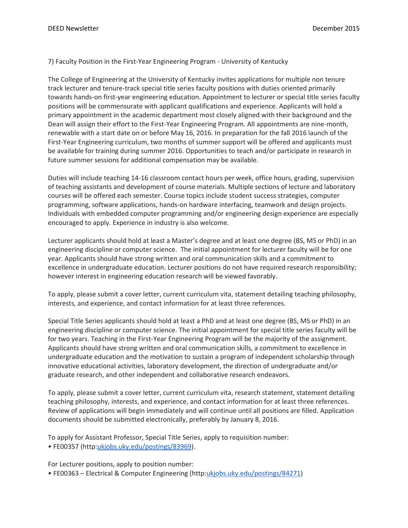## 7) Faculty Position in the First-Year Engineering Program - University of Kentucky

The College of Engineering at the University of Kentucky invites applications for multiple non tenure track lecturer and tenure-track special title series faculty positions with duties oriented primarily towards hands-on first-year engineering education. Appointment to lecturer or special title series faculty positions will be commensurate with applicant qualifications and experience. Applicants will hold a primary appointment in the academic department most closely aligned with their background and the Dean will assign their effort to the First-Year Engineering Program. All appointments are nine-month, renewable with a start date on or before May 16, 2016. In preparation for the fall 2016 launch of the First-Year Engineering curriculum, two months of summer support will be offered and applicants must be available for training during summer 2016. Opportunities to teach and/or participate in research in future summer sessions for additional compensation may be available.

Duties will include teaching 14-16 classroom contact hours per week, office hours, grading, supervision of teaching assistants and development of course materials. Multiple sections of lecture and laboratory courses will be offered each semester. Course topics include student success strategies, computer programming, software applications, hands-on hardware interfacing, teamwork and design projects. Individuals with embedded computer programming and/or engineering design experience are especially encouraged to apply. Experience in industry is also welcome.

Lecturer applicants should hold at least a Master's degree and at least one degree (BS, MS or PhD) in an engineering discipline or computer science. The initial appointment for lecturer faculty will be for one year. Applicants should have strong written and oral communication skills and a commitment to excellence in undergraduate education. Lecturer positions do not have required research responsibility; however interest in engineering education research will be viewed favorably.

To apply, please submit a cover letter, current curriculum vita, statement detailing teaching philosophy, interests, and experience, and contact information for at least three references.

Special Title Series applicants should hold at least a PhD and at least one degree (BS, MS or PhD) in an engineering discipline or computer science. The initial appointment for special title series faculty will be for two years. Teaching in the First-Year Engineering Program will be the majority of the assignment. Applicants should have strong written and oral communication skills, a commitment to excellence in undergraduate education and the motivation to sustain a program of independent scholarship through innovative educational activities, laboratory development, the direction of undergraduate and/or graduate research, and other independent and collaborative research endeavors.

To apply, please submit a cover letter, current curriculum vita, research statement, statement detailing teaching philosophy, interests, and experience, and contact information for at least three references. Review of applications will begin immediately and will continue until all positions are filled. Application documents should be submitted electronically, preferably by January 8, 2016.

To apply for Assistant Professor, Special Title Series, apply to requisition number: • FE00357 (http:[ukjobs.uky.edu/postings/83969\)](http://ukjobs.uky.edu/postings/83969).

For Lecturer positions, apply to position number:

• FE00363 – Electrical & Computer Engineering (http[:ukjobs.uky.edu/postings/84271\)](http://ukjobs.uky.edu/postings/84271)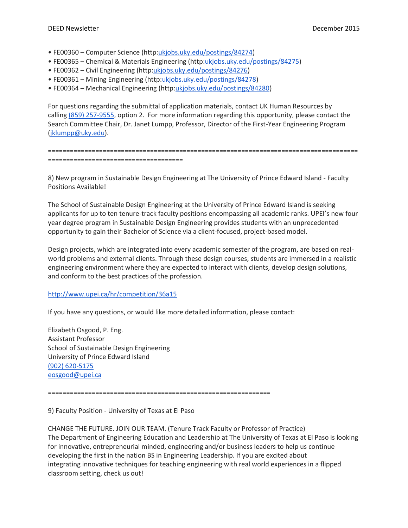- FE00360 Computer Science (http[:ukjobs.uky.edu/postings/84274\)](http://ukjobs.uky.edu/postings/84274)
- FE00365 Chemical & Materials Engineering (http[:ukjobs.uky.edu/postings/84275\)](http://ukjobs.uky.edu/postings/84275)
- FE00362 Civil Engineering (http[:ukjobs.uky.edu/postings/84276\)](http://ukjobs.uky.edu/postings/84276)
- FE00361 Mining Engineering (http[:ukjobs.uky.edu/postings/84278\)](http://ukjobs.uky.edu/postings/84278)
- FE00364 Mechanical Engineering (http[:ukjobs.uky.edu/postings/84280\)](http://ukjobs.uky.edu/postings/84280)

For questions regarding the submittal of application materials, contact UK Human Resources by calling [\(859\) 257-9555,](tel:%28859%29%20257-9555) option 2. For more information regarding this opportunity, please contact the Search Committee Chair, Dr. Janet Lumpp, Professor, Director of the First-Year Engineering Program [\(jklumpp@uky.edu\)](mailto:jklumpp@uky.edu).

```
=====================================================================================
=====================================
```
8) New program in Sustainable Design Engineering at The University of Prince Edward Island - Faculty Positions Available!

The School of Sustainable Design Engineering at the University of Prince Edward Island is seeking applicants for up to ten tenure-track faculty positions encompassing all academic ranks. UPEI's new four year degree program in Sustainable Design Engineering provides students with an unprecedented opportunity to gain their Bachelor of Science via a client-focused, project-based model.

Design projects, which are integrated into every academic semester of the program, are based on realworld problems and external clients. Through these design courses, students are immersed in a realistic engineering environment where they are expected to interact with clients, develop design solutions, and conform to the best practices of the profession.

# <http://www.upei.ca/hr/competition/36a15>

If you have any questions, or would like more detailed information, please contact:

Elizabeth Osgood, P. Eng. Assistant Professor School of Sustainable Design Engineering University of Prince Edward Island [\(902\) 620-5175](tel:%28902%29%20620-5175) [eosgood@upei.ca](mailto:eosgood@upei.ca)

=============================================================

### 9) Faculty Position - University of Texas at El Paso

CHANGE THE FUTURE. JOIN OUR TEAM. (Tenure Track Faculty or Professor of Practice) The Department of Engineering Education and Leadership at The University of Texas at El Paso is looking for innovative, entrepreneurial minded, engineering and/or business leaders to help us continue developing the first in the nation BS in Engineering Leadership. If you are excited about integrating innovative techniques for teaching engineering with real world experiences in a flipped classroom setting, check us out!